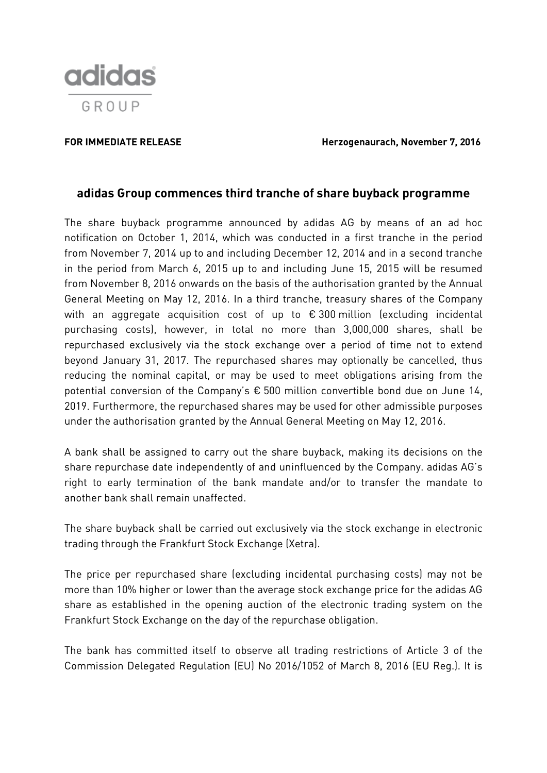

**FOR IMMEDIATE RELEASE Herzogenaurach, November 7, 2016**

## **adidas Group commences third tranche of share buyback programme**

The share buyback programme announced by adidas AG by means of an ad hoc notification on October 1, 2014, which was conducted in a first tranche in the period from November 7, 2014 up to and including December 12, 2014 and in a second tranche in the period from March 6, 2015 up to and including June 15, 2015 will be resumed from November 8, 2016 onwards on the basis of the authorisation granted by the Annual General Meeting on May 12, 2016. In a third tranche, treasury shares of the Company with an aggregate acquisition cost of up to €300 million (excluding incidental purchasing costs), however, in total no more than 3,000,000 shares, shall be repurchased exclusively via the stock exchange over a period of time not to extend beyond January 31, 2017. The repurchased shares may optionally be cancelled, thus reducing the nominal capital, or may be used to meet obligations arising from the potential conversion of the Company's € 500 million convertible bond due on June 14, 2019. Furthermore, the repurchased shares may be used for other admissible purposes under the authorisation granted by the Annual General Meeting on May 12, 2016.

A bank shall be assigned to carry out the share buyback, making its decisions on the share repurchase date independently of and uninfluenced by the Company. adidas AG's right to early termination of the bank mandate and/or to transfer the mandate to another bank shall remain unaffected.

The share buyback shall be carried out exclusively via the stock exchange in electronic trading through the Frankfurt Stock Exchange (Xetra).

The price per repurchased share (excluding incidental purchasing costs) may not be more than 10% higher or lower than the average stock exchange price for the adidas AG share as established in the opening auction of the electronic trading system on the Frankfurt Stock Exchange on the day of the repurchase obligation.

The bank has committed itself to observe all trading restrictions of Article 3 of the Commission Delegated Regulation (EU) No 2016/1052 of March 8, 2016 (EU Reg.). It is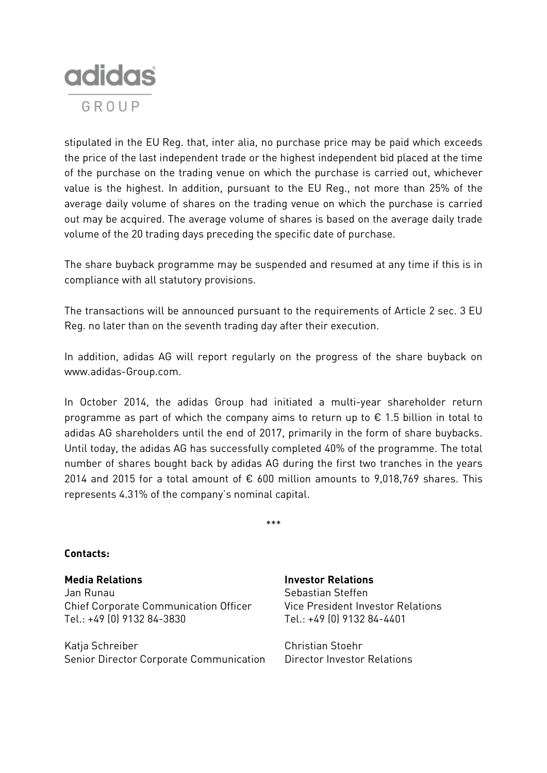

stipulated in the EU Reg. that, inter alia, no purchase price may be paid which exceeds the price of the last independent trade or the highest independent bid placed at the time of the purchase on the trading venue on which the purchase is carried out, whichever value is the highest. In addition, pursuant to the EU Reg., not more than 25% of the average daily volume of shares on the trading venue on which the purchase is carried out may be acquired. The average volume of shares is based on the average daily trade volume of the 20 trading days preceding the specific date of purchase.

The share buyback programme may be suspended and resumed at any time if this is in compliance with all statutory provisions.

The transactions will be announced pursuant to the requirements of Article 2 sec. 3 EU Reg. no later than on the seventh trading day after their execution.

In addition, adidas AG will report regularly on the progress of the share buyback on www.adidas-Group.com.

In October 2014, the adidas Group had initiated a multi-year shareholder return programme as part of which the company aims to return up to  $\epsilon$  1.5 billion in total to adidas AG shareholders until the end of 2017, primarily in the form of share buybacks. Until today, the adidas AG has successfully completed 40% of the programme. The total number of shares bought back by adidas AG during the first two tranches in the years 2014 and 2015 for a total amount of  $\epsilon$  600 million amounts to 9,018,769 shares. This represents 4.31% of the company's nominal capital.

\*\*\*

## **Contacts:**

**Media Relations Investor Relations** Jan Runau Chief Corporate Communication Officer Tel.: +49 (0) 9132 84-3830

Katja Schreiber Christian Stoehr Senior Director Corporate Communication Director Investor Relations

Sebastian Steffen Vice President Investor Relations Tel.: +49 (0) 9132 84-4401